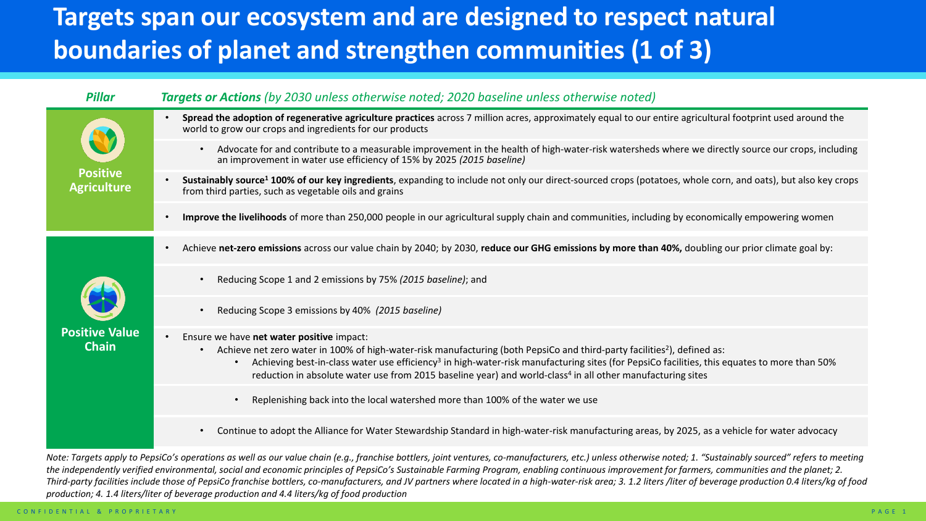## **Targets span our ecosystem and are designed to respect natural boundaries of planet and strengthen communities (1 of 3)**

| <b>Pillar</b>                         | <b>Targets or Actions</b> (by 2030 unless otherwise noted; 2020 baseline unless otherwise noted)                                                                                                                                                                                                                                                                                                                                                                                                 |
|---------------------------------------|--------------------------------------------------------------------------------------------------------------------------------------------------------------------------------------------------------------------------------------------------------------------------------------------------------------------------------------------------------------------------------------------------------------------------------------------------------------------------------------------------|
| <b>Positive</b><br><b>Agriculture</b> | Spread the adoption of regenerative agriculture practices across 7 million acres, approximately equal to our entire agricultural footprint used around the<br>world to grow our crops and ingredients for our products                                                                                                                                                                                                                                                                           |
|                                       | Advocate for and contribute to a measurable improvement in the health of high-water-risk watersheds where we directly source our crops, including<br>$\bullet$<br>an improvement in water use efficiency of 15% by 2025 (2015 baseline)                                                                                                                                                                                                                                                          |
|                                       | Sustainably source <sup>1</sup> 100% of our key ingredients, expanding to include not only our direct-sourced crops (potatoes, whole corn, and oats), but also key crops<br>$\bullet$<br>from third parties, such as vegetable oils and grains                                                                                                                                                                                                                                                   |
|                                       | Improve the livelihoods of more than 250,000 people in our agricultural supply chain and communities, including by economically empowering women                                                                                                                                                                                                                                                                                                                                                 |
| <b>Positive Value</b><br><b>Chain</b> | Achieve net-zero emissions across our value chain by 2040; by 2030, reduce our GHG emissions by more than 40%, doubling our prior climate goal by:<br>$\bullet$                                                                                                                                                                                                                                                                                                                                  |
|                                       | Reducing Scope 1 and 2 emissions by 75% (2015 baseline); and<br>$\bullet$                                                                                                                                                                                                                                                                                                                                                                                                                        |
|                                       | Reducing Scope 3 emissions by 40% (2015 baseline)                                                                                                                                                                                                                                                                                                                                                                                                                                                |
|                                       | Ensure we have net water positive impact:<br>Achieve net zero water in 100% of high-water-risk manufacturing (both PepsiCo and third-party facilities <sup>2</sup> ), defined as:<br>$\bullet$<br>Achieving best-in-class water use efficiency <sup>3</sup> in high-water-risk manufacturing sites (for PepsiCo facilities, this equates to more than 50%<br>$\bullet$<br>reduction in absolute water use from 2015 baseline year) and world-class <sup>4</sup> in all other manufacturing sites |
|                                       | Replenishing back into the local watershed more than 100% of the water we use<br>$\bullet$                                                                                                                                                                                                                                                                                                                                                                                                       |
|                                       | Continue to adopt the Alliance for Water Stewardship Standard in high-water-risk manufacturing areas, by 2025, as a vehicle for water advocacy<br>$\bullet$                                                                                                                                                                                                                                                                                                                                      |
|                                       | Note: Targets apply to PensiCo's operations as well as our value chain (e.g. franchise bottlers, joint ventures, co-manufacturers, etc.) unless otherwise noted: 1. "Sustainably sourced" refers to meeting                                                                                                                                                                                                                                                                                      |

*Note: Targets apply to PepsiCo's operations as well as our value chain (e.g., franchise bottlers, joint ventures, co-manufacturers, etc.) unless otherwise noted; 1. "Sustainably sourced" refers to meeting the independently verified environmental, social and economic principles of PepsiCo's Sustainable Farming Program, enabling continuous improvement for farmers, communities and the planet; 2. Third-party facilities include those of PepsiCo franchise bottlers, co-manufacturers, and JV partners where located in a high-water-risk area; 3. 1.2 liters /liter of beverage production 0.4 liters/kg of food production; 4. 1.4 liters/liter of beverage production and 4.4 liters/kg of food production*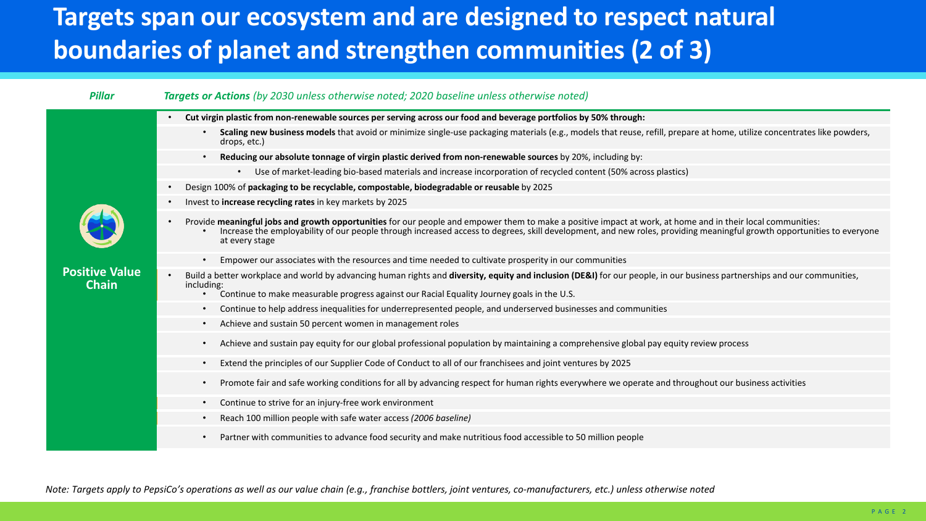## **Targets span our ecosystem and are designed to respect natural boundaries of planet and strengthen communities (2 of 3)**

## *Pillar Targets or Actions (by 2030 unless otherwise noted; 2020 baseline unless otherwise noted)* **Positive Value Chain** • **Cut virgin plastic from non-renewable sources per serving across our food and beverage portfolios by 50% through:** • **Scaling new business models** that avoid or minimize single-use packaging materials (e.g., models that reuse, refill, prepare at home, utilize concentrates like powders, drops, etc.) • **Reducing our absolute tonnage of virgin plastic derived from non-renewable sources** by 20%, including by: • Use of market-leading bio-based materials and increase incorporation of recycled content (50% across plastics) • Design 100% of **packaging to be recyclable, compostable, biodegradable or reusable** by 2025 • Invest to **increase recycling rates** in key markets by 2025 • Provide meaningful jobs and growth opportunities for our people and empower them to make a positive impact at work, at home and in their local communities:<br>Increase the employability of our people through increased acces at every stage • Empower our associates with the resources and time needed to cultivate prosperity in our communities • Build a better workplace and world by advancing human rights and **diversity, equity and inclusion (DE&I)** for our people, in our business partnerships and our communities, including: • Continue to make measurable progress against our Racial Equality Journey goals in the U.S. • Continue to help address inequalities for underrepresented people, and underserved businesses and communities • Achieve and sustain 50 percent women in management roles • Achieve and sustain pay equity for our global professional population by maintaining a comprehensive global pay equity review process • Extend the principles of our Supplier Code of Conduct to all of our franchisees and joint ventures by 2025 • Promote fair and safe working conditions for all by advancing respect for human rights everywhere we operate and throughout our business activities Continue to strive for an injury-free work environment • Reach 100 million people with safe water access *(2006 baseline)* • Partner with communities to advance food security and make nutritious food accessible to 50 million people

*Note: Targets apply to PepsiCo's operations as well as our value chain (e.g., franchise bottlers, joint ventures, co-manufacturers, etc.) unless otherwise noted*